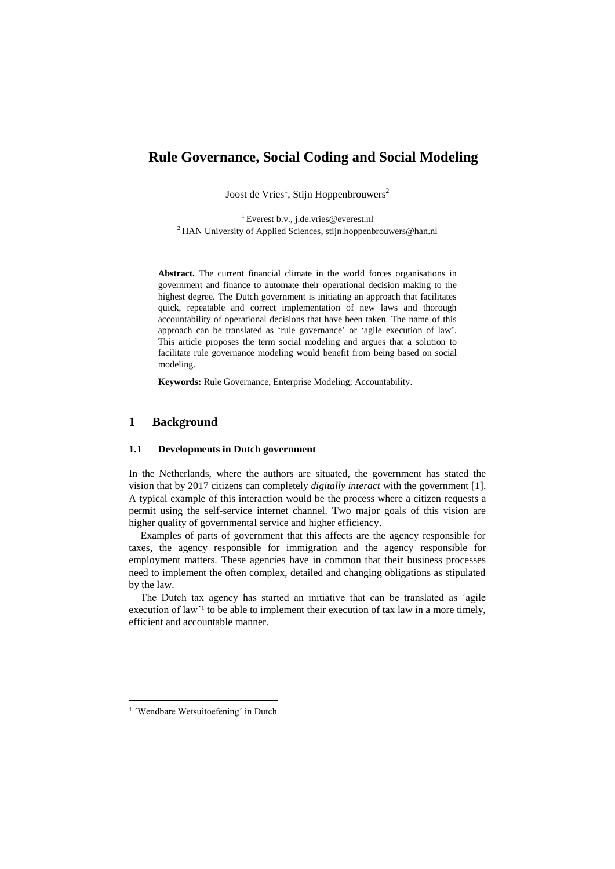# **Rule Governance, Social Coding and Social Modeling**

Joost de Vries<sup>1</sup>, Stijn Hoppenbrouwers<sup>2</sup>

<sup>1</sup> Everest b.v., j.de.vries@everest.nl <sup>2</sup> HAN University of Applied Sciences, stijn.hoppenbrouwers@han.nl

**Abstract.** The current financial climate in the world forces organisations in government and finance to automate their operational decision making to the highest degree. The Dutch government is initiating an approach that facilitates quick, repeatable and correct implementation of new laws and thorough accountability of operational decisions that have been taken. The name of this approach can be translated as 'rule governance' or 'agile execution of law'. This article proposes the term social modeling and argues that a solution to facilitate rule governance modeling would benefit from being based on social modeling.

**Keywords:** Rule Governance, Enterprise Modeling; Accountability.

#### **1 Background**

### **1.1 Developments in Dutch government**

In the Netherlands, where the authors are situated, the government has stated the vision that by 2017 citizens can completely *digitally interact* with the government [1]. A typical example of this interaction would be the process where a citizen requests a permit using the self-service internet channel. Two major goals of this vision are higher quality of governmental service and higher efficiency.

Examples of parts of government that this affects are the agency responsible for taxes, the agency responsible for immigration and the agency responsible for employment matters. These agencies have in common that their business processes need to implement the often complex, detailed and changing obligations as stipulated by the law.

The Dutch tax agency has started an initiative that can be translated as ´agile execution of law<sup>1</sup> to be able to implement their execution of tax law in a more timely, efficient and accountable manner.

-

<sup>&</sup>lt;sup>1</sup> 'Wendbare Wetsuitoefening' in Dutch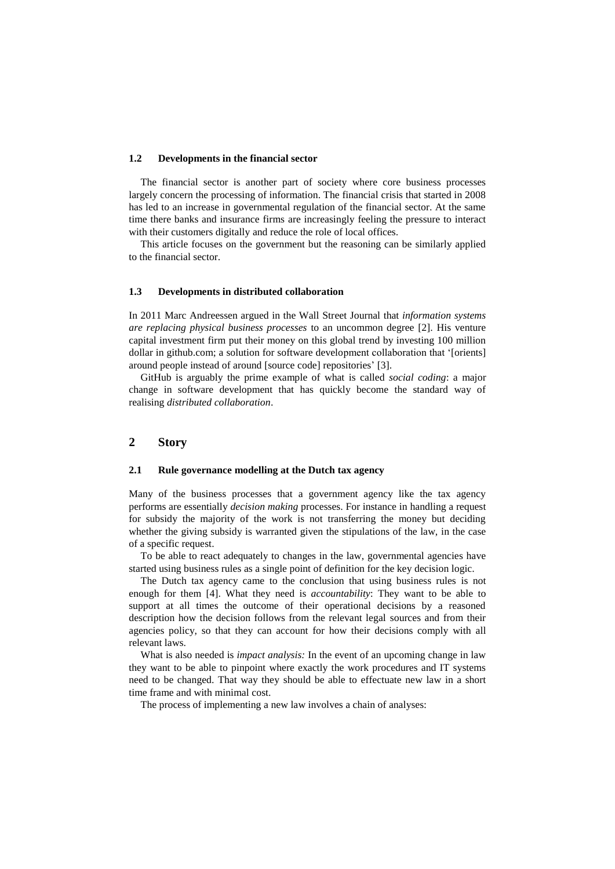#### **1.2 Developments in the financial sector**

The financial sector is another part of society where core business processes largely concern the processing of information. The financial crisis that started in 2008 has led to an increase in governmental regulation of the financial sector. At the same time there banks and insurance firms are increasingly feeling the pressure to interact with their customers digitally and reduce the role of local offices.

This article focuses on the government but the reasoning can be similarly applied to the financial sector.

#### **1.3 Developments in distributed collaboration**

In 2011 Marc Andreessen argued in the Wall Street Journal that *information systems are replacing physical business processes* to an uncommon degree [2]. His venture capital investment firm put their money on this global trend by investing 100 million dollar in github.com; a solution for software development collaboration that '[orients] around people instead of around [source code] repositories' [3].

GitHub is arguably the prime example of what is called *social coding*: a major change in software development that has quickly become the standard way of realising *distributed collaboration*.

## **2 Story**

### **2.1 Rule governance modelling at the Dutch tax agency**

Many of the business processes that a government agency like the tax agency performs are essentially *decision making* processes. For instance in handling a request for subsidy the majority of the work is not transferring the money but deciding whether the giving subsidy is warranted given the stipulations of the law, in the case of a specific request.

To be able to react adequately to changes in the law, governmental agencies have started using business rules as a single point of definition for the key decision logic.

The Dutch tax agency came to the conclusion that using business rules is not enough for them [4]. What they need is *accountability*: They want to be able to support at all times the outcome of their operational decisions by a reasoned description how the decision follows from the relevant legal sources and from their agencies policy, so that they can account for how their decisions comply with all relevant laws.

What is also needed is *impact analysis:* In the event of an upcoming change in law they want to be able to pinpoint where exactly the work procedures and IT systems need to be changed. That way they should be able to effectuate new law in a short time frame and with minimal cost.

The process of implementing a new law involves a chain of analyses: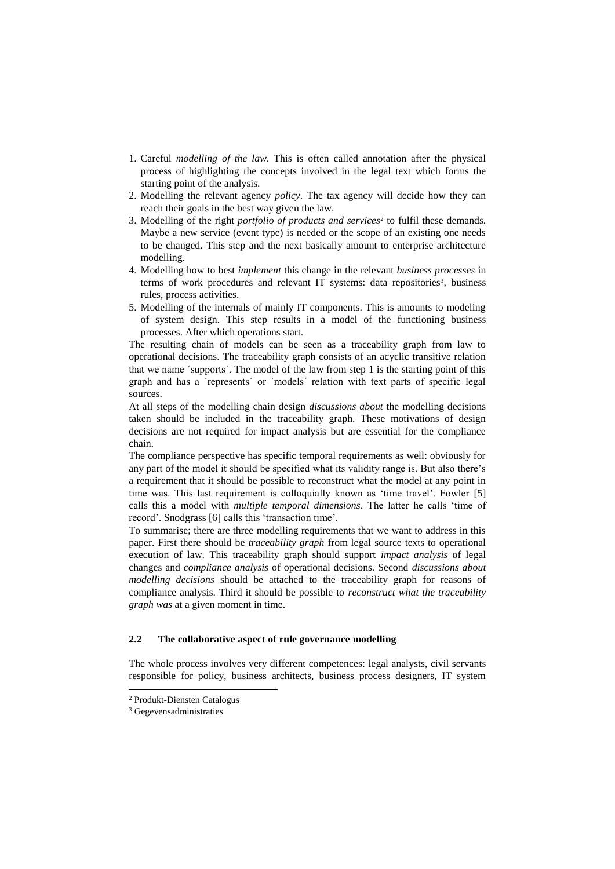- 1. Careful *modelling of the law*. This is often called annotation after the physical process of highlighting the concepts involved in the legal text which forms the starting point of the analysis.
- 2. Modelling the relevant agency *policy*. The tax agency will decide how they can reach their goals in the best way given the law.
- 3. Modelling of the right *portfolio of products and services*<sup>2</sup> to fulfil these demands. Maybe a new service (event type) is needed or the scope of an existing one needs to be changed. This step and the next basically amount to enterprise architecture modelling.
- 4. Modelling how to best *implement* this change in the relevant *business processes* in terms of work procedures and relevant IT systems: data repositories<sup>3</sup>, business rules, process activities.
- 5. Modelling of the internals of mainly IT components. This is amounts to modeling of system design. This step results in a model of the functioning business processes. After which operations start.

The resulting chain of models can be seen as a traceability graph from law to operational decisions. The traceability graph consists of an acyclic transitive relation that we name ´supports´. The model of the law from step 1 is the starting point of this graph and has a ´represents´ or ´models´ relation with text parts of specific legal sources.

At all steps of the modelling chain design *discussions about* the modelling decisions taken should be included in the traceability graph. These motivations of design decisions are not required for impact analysis but are essential for the compliance chain.

The compliance perspective has specific temporal requirements as well: obviously for any part of the model it should be specified what its validity range is. But also there's a requirement that it should be possible to reconstruct what the model at any point in time was. This last requirement is colloquially known as 'time travel'. Fowler [5] calls this a model with *multiple temporal dimensions*. The latter he calls 'time of record'. Snodgrass [6] calls this 'transaction time'.

To summarise; there are three modelling requirements that we want to address in this paper. First there should be *traceability graph* from legal source texts to operational execution of law. This traceability graph should support *impact analysis* of legal changes and *compliance analysis* of operational decisions. Second *discussions about modelling decisions* should be attached to the traceability graph for reasons of compliance analysis. Third it should be possible to *reconstruct what the traceability graph was* at a given moment in time.

## **2.2 The collaborative aspect of rule governance modelling**

The whole process involves very different competences: legal analysts, civil servants responsible for policy, business architects, business process designers, IT system

-

<sup>2</sup> Produkt-Diensten Catalogus

<sup>3</sup> Gegevensadministraties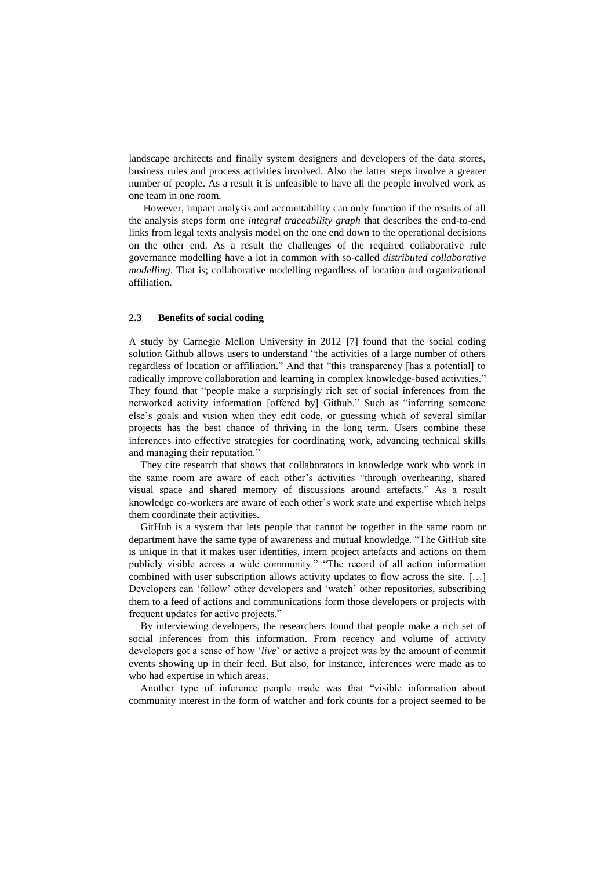landscape architects and finally system designers and developers of the data stores, business rules and process activities involved. Also the latter steps involve a greater number of people. As a result it is unfeasible to have all the people involved work as one team in one room.

However, impact analysis and accountability can only function if the results of all the analysis steps form one *integral traceability graph* that describes the end-to-end links from legal texts analysis model on the one end down to the operational decisions on the other end. As a result the challenges of the required collaborative rule governance modelling have a lot in common with so-called *distributed collaborative modelling*. That is; collaborative modelling regardless of location and organizational affiliation.

#### **2.3 Benefits of social coding**

A study by Carnegie Mellon University in 2012 [7] found that the social coding solution Github allows users to understand "the activities of a large number of others regardless of location or affiliation." And that "this transparency [has a potential] to radically improve collaboration and learning in complex knowledge-based activities." They found that "people make a surprisingly rich set of social inferences from the networked activity information [offered by] Github." Such as "inferring someone else's goals and vision when they edit code, or guessing which of several similar projects has the best chance of thriving in the long term. Users combine these inferences into effective strategies for coordinating work, advancing technical skills and managing their reputation."

They cite research that shows that collaborators in knowledge work who work in the same room are aware of each other's activities "through overhearing, shared visual space and shared memory of discussions around artefacts." As a result knowledge co-workers are aware of each other's work state and expertise which helps them coordinate their activities.

GitHub is a system that lets people that cannot be together in the same room or department have the same type of awareness and mutual knowledge. "The GitHub site is unique in that it makes user identities, intern project artefacts and actions on them publicly visible across a wide community." "The record of all action information combined with user subscription allows activity updates to flow across the site. […] Developers can 'follow' other developers and 'watch' other repositories, subscribing them to a feed of actions and communications form those developers or projects with frequent updates for active projects."

By interviewing developers, the researchers found that people make a rich set of social inferences from this information. From recency and volume of activity developers got a sense of how '*live*' or active a project was by the amount of commit events showing up in their feed. But also, for instance, inferences were made as to who had expertise in which areas.

Another type of inference people made was that "visible information about community interest in the form of watcher and fork counts for a project seemed to be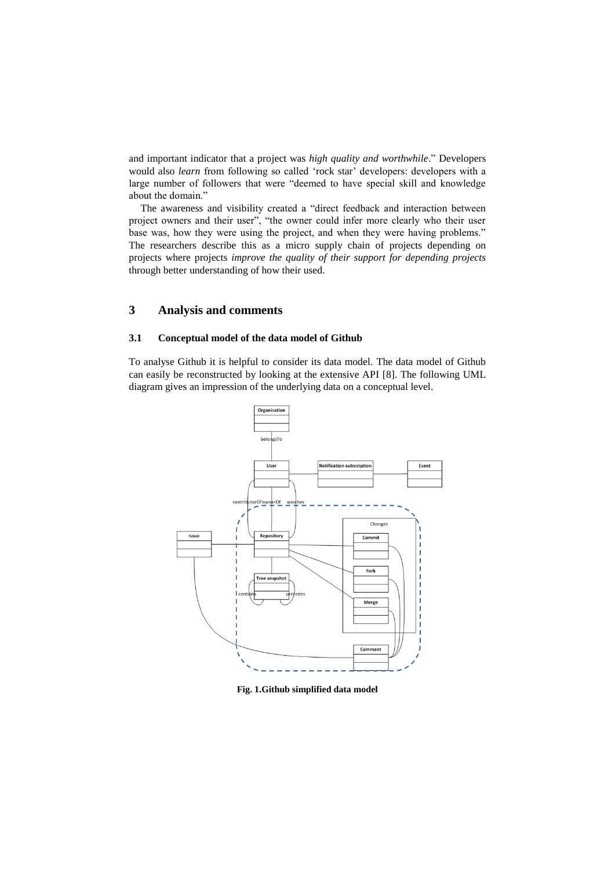and important indicator that a project was *high quality and worthwhile*." Developers would also *learn* from following so called 'rock star' developers: developers with a large number of followers that were "deemed to have special skill and knowledge about the domain."

The awareness and visibility created a "direct feedback and interaction between project owners and their user", "the owner could infer more clearly who their user base was, how they were using the project, and when they were having problems." The researchers describe this as a micro supply chain of projects depending on projects where projects *improve the quality of their support for depending projects* through better understanding of how their used.

## **3 Analysis and comments**

## **3.1 Conceptual model of the data model of Github**

To analyse Github it is helpful to consider its data model. The data model of Github can easily be reconstructed by looking at the extensive API [8]. The following UML diagram gives an impression of the underlying data on a conceptual level.



**Fig. 1.Github simplified data model**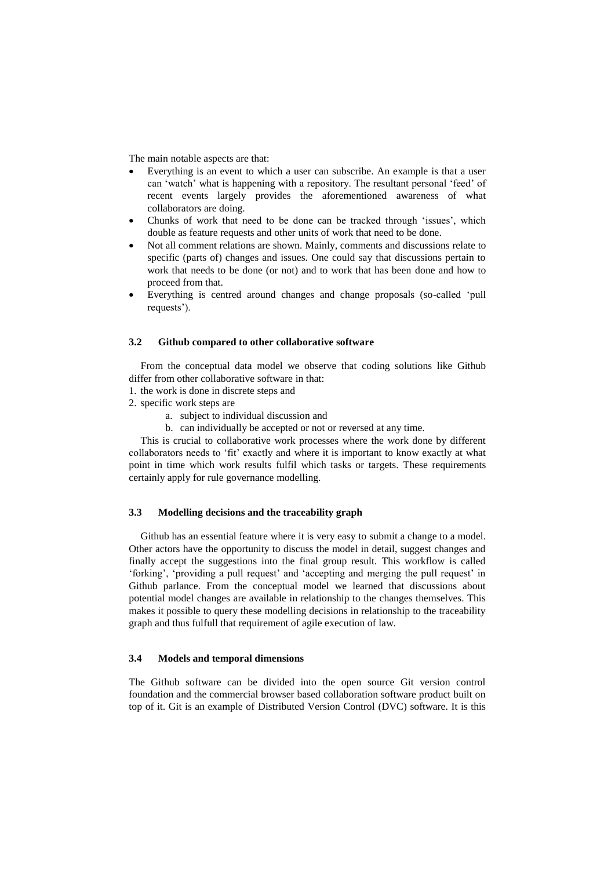The main notable aspects are that:

- Everything is an event to which a user can subscribe. An example is that a user can 'watch' what is happening with a repository. The resultant personal 'feed' of recent events largely provides the aforementioned awareness of what collaborators are doing.
- Chunks of work that need to be done can be tracked through 'issues', which double as feature requests and other units of work that need to be done.
- Not all comment relations are shown. Mainly, comments and discussions relate to specific (parts of) changes and issues. One could say that discussions pertain to work that needs to be done (or not) and to work that has been done and how to proceed from that.
- Everything is centred around changes and change proposals (so-called 'pull requests').

#### **3.2 Github compared to other collaborative software**

From the conceptual data model we observe that coding solutions like Github differ from other collaborative software in that:

- 1. the work is done in discrete steps and
- 2. specific work steps are
	- a. subject to individual discussion and
	- b. can individually be accepted or not or reversed at any time.

This is crucial to collaborative work processes where the work done by different collaborators needs to 'fit' exactly and where it is important to know exactly at what point in time which work results fulfil which tasks or targets. These requirements certainly apply for rule governance modelling.

## **3.3 Modelling decisions and the traceability graph**

Github has an essential feature where it is very easy to submit a change to a model. Other actors have the opportunity to discuss the model in detail, suggest changes and finally accept the suggestions into the final group result. This workflow is called 'forking', 'providing a pull request' and 'accepting and merging the pull request' in Github parlance. From the conceptual model we learned that discussions about potential model changes are available in relationship to the changes themselves. This makes it possible to query these modelling decisions in relationship to the traceability graph and thus fulfull that requirement of agile execution of law.

#### **3.4 Models and temporal dimensions**

The Github software can be divided into the open source Git version control foundation and the commercial browser based collaboration software product built on top of it. Git is an example of Distributed Version Control (DVC) software. It is this